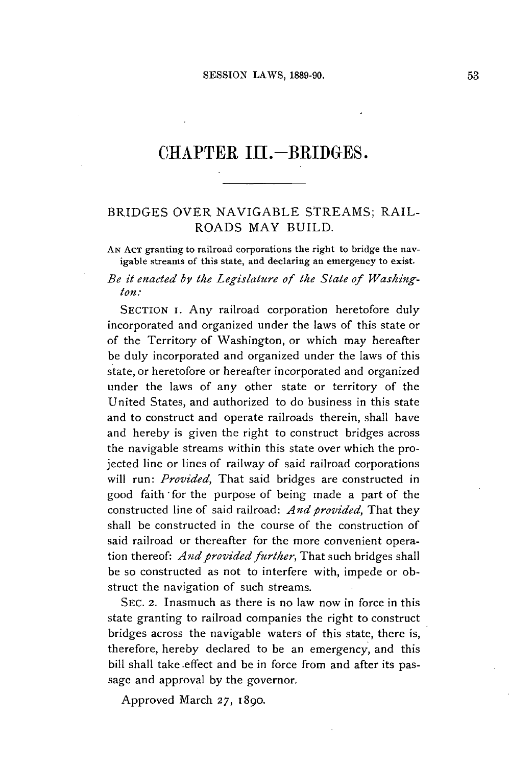## CHAPTER III.-BRIDGES.

## BRIDGES OVER NAVIGABLE STREAMS; RAIL-ROADS MAY **BUILD.**

**AN AcT** granting to railroad corporations the right to bridge the navigable streams of this state, and declaring an emergency to exist.

*Be it enacted by the Legislature of the State of Washington:*

**SECTION I.** Any railroad corporation heretofore duly incorporated and organized under the laws of this state or of the Territory of Washington, or which may hereafter be duly incorporated and organized under the laws of this state, or heretofore or hereafter incorporated and organized under the laws of any other state or territory of the United States, and authorized to do business in this state and to construct and operate railroads therein, shall have and hereby is given the right to construct bridges across the navigable streams within this state over which the projected line or lines of railway of said railroad corporations will run: *Provided,* That said bridges are constructed in good faith'for the purpose of being made a part of the constructed line of said railroad: *And provided,* That they shall be constructed in the course of the construction of said railroad or thereafter for the more convenient operation thereof: *A nd provided further,* That such bridges shall be so constructed as not to interfere with, impede or obstruct the navigation of such streams.

**SEC. 2.** Inasmuch as there is no law now in force in this state granting to railroad companies the right to construct bridges across the navigable waters of this state, there is, therefore, hereby declared to be an emergency, and this bill shall take effect and be in force from and after its passage and approval **by** the governor.

Approved March **27,** *1890.*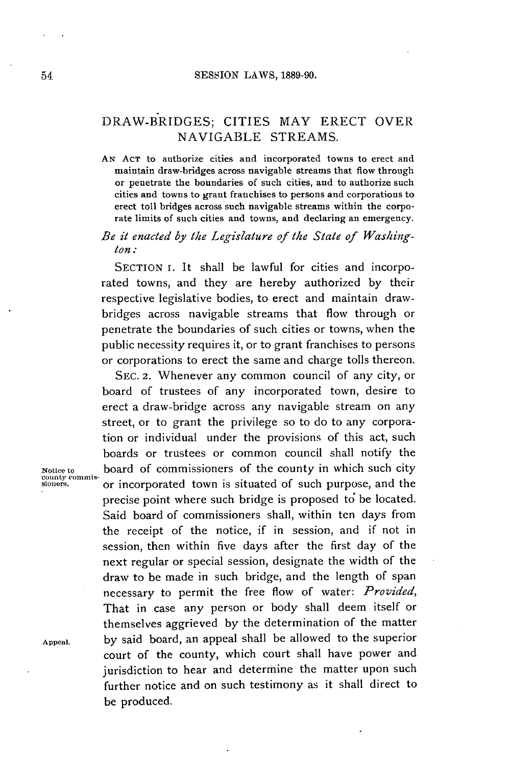## DRAW-BRIDGES; CITIES MAY ERECT OVER NAVIGABLE STREAMS.

**AN ACT** to authorize cities and incorporated towns to erect and maintain draw-bridges across navigable streams that flow through or penetrate the boundaries of such cities, and to authorize such cities and towns to grant franchises to persons and corporations to erect toll bridges across such navigable streams within the corporate limits of such cities and towns, and declaring an emergency.

## *Be it enacted by the Legislature of the State of Washington:*

**SECTION** I. It shall be lawful for cities and incorporated towns, and they are hereby authorized **by** their respective legislative bodies, to erect and maintain drawbridges across navigable streams that flow through or penetrate the boundaries of such cities or towns, when the public necessity requires it, or to grant franchises to persons or corporations to erect the same and charge tolls thereon.

**SEC. 2.** Whenever any common council of any city, or board of trustees of any incorporated town, desire to erect a draw-bridge across any navigable stream on any street, or to grant the privilege so to do to any corporation or individual under the provisions of this act, such boards or trustees or common council shall notify the **Notice to** board of commissioners of the county in which such city **sioners.** or incorporated town is situated of such purpose, and the precise point where such bridge is proposed to be located. Said board of commissioners shall, within ten days from the receipt of the notice, if in session, and if not in session, then within five days after the first day of the next regular or special session, designate the width of the draw to be made in such bridge, and the length of span necessary to permit the free flow of water: *Provided,* That in case any person or body shall deem itself or themselves aggrieved **by** the determination of the matter **Appeal. by** said board, an appeal shall be allowed to the superior court of the county, which court shall have power and jurisdiction to hear and determine the matter upon such further notice and on such testimony as it shall direct to be produced.

county commis-<br>sioners.